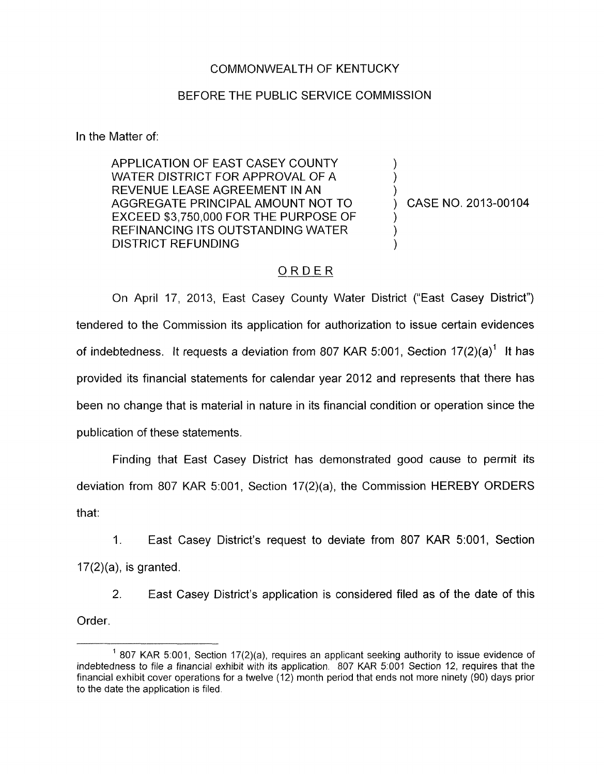## COMMONWEALTH OF KENTUCKY

## BEFORE THE PUBLIC SERVICE COMMISSION

In the Matter of:

APPLICATION OF EAST CASEY COUNTY WATER DISTRICT FOR APPROVAL OF A<br>REVENUE LEASE AGREEMENT IN AN AGGREGATE PRINCIPAL AMOUNT NOT TO  $\longrightarrow$  CASE NO. 2013-00104 EXCEED \$3,750,000 FOR THE PURPOSE OF REFINANCING ITS OUTSTANDING WATER DISTRICT REFUNDING

## ORDER

On April 17, 2013, East Casey County Water District ("East Casey District") tendered to the Commission its application for authorization to issue certain evidences of indebtedness. It requests a deviation from 807 KAR 5:001, Section 17(2)(a)' It has provided its financial statements for calendar year 2012 and represents that there has been no change that is material in nature in its financial condition or operation since the publication of these statements.

Finding that East Casey District has demonstrated good cause to permit its deviation from 807 KAR 5:001, Section 17(2)(a), the Commission HEREBY ORDERS that:

1. East Casey District's request to deviate from 807 KAR 5:001, Section 17(2)(a), is granted.

2. East Casey District's application is considered filed as of the date of this Order.

<sup>&</sup>lt;sup>1</sup> 807 KAR 5:001, Section 17(2)(a), requires an applicant seeking authority to issue evidence of indebtedness *to* file a financial exhibit with its application. 807 KAR 5:OOl Section 12, requires that the financial exhibit cover operations for a twelve (12) month period that ends not more ninety (90) days prior *to* the date the application is filed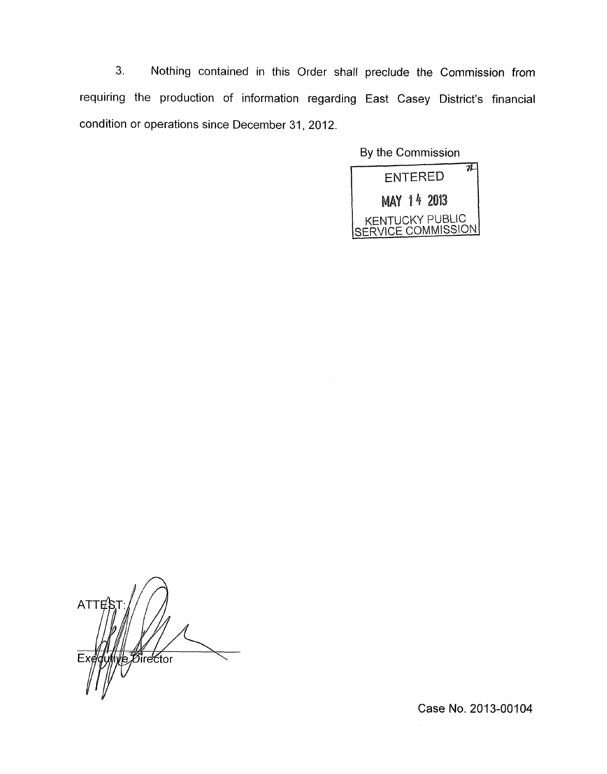3. Nothing contained in this Order shall preclude the Commission from requiring the production of information regarding East Casey District's financial condition or operations since December 31, 2012.

By the Commission



 $ATTE$ *Director* 

Case No. 2013-00104